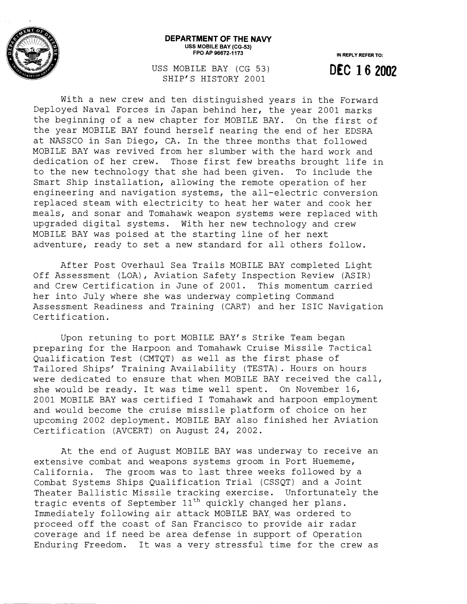

## **DEPARTMENT OF THE NAVY USS MOBILE BAY (CG-53) FPO AP 96672-1 173**

**IN REPLY REFER TO: DEC 16 2002** 

USS MOBILE BAY (CG 53) SHIP'S HISTORY 2001

With a new crew and ten distinguished years in the Forward Deployed Naval Forces in Japan behind her, the year 2001 marks the beginning of a new chapter for MOBILE BAY. On the first of the year MOBILE BAY found herself nearing the end of her EDSRA at NASSCO in San Diego, CA. In the three months that followed MOBILE BAY was revived from her slumber with the hard work and dedication of her crew. Those first few breaths brought life in to the new technology that she had been given. To include the Smart Ship installation, allowing the remote operation of her engineering and navigation systems, the all-electric conversion replaced steam with electricity to heat her water and cook her meals, and sonar and Tomahawk weapon systems were replaced with upgraded digital systems. With her new technology and crew MOBILE BAY was poised at the starting line of her next adventure, ready to set a new standard for all others follow.

After Post Overhaul Sea Trails MOBILE BAY completed Light Off Assessment (LOA), Aviation Safety Inspection Review (ASIR) and Crew Certification in June of 2001. This momentum carried her into July where she was underway completing Command Assessment Readiness and Training (CART) and her ISIC Navigation Certification.

Upon retuning to port MOBILE BAY'S Strike Team began preparing for the Harpoon. and Tomahawk Cruise Missile Tactical Qualification Test (CMTQT) as well as the first phase of Tailored Ships' Training Availability (TESTA). Hours on hours were dedicated to ensure that when MOBILE BAY received the call, she would be ready. It was time well spent. On November  $16$ , 2001 MOBILE BAY was certified I Tomahawk and harpoon employment and would become the cruise missile platform of choice on her upcoming 2002 deplcyment. MOBILE BAY also finished her Aviation Certification (AVCERT) on August 24, 2002.

At the end of August MOBILE BAY was underway to receive an extensive combat and weapons systems groom in Port Huememe, California. The groom was to last three weeks followed by a Combat Systems Ships Qualification Trial (CSSQT) and a Joint Theater Ballistic Missile tracking exercise. Unfortunately the tragic events of September  $11<sup>th</sup>$  quickly changed her plans. Immediately following air attack MOBILE BAY was ordered to proceed off the coast of San Francisco to provide air radar coverage and if need be area defense in support of Operation Enduring Freedom. It was a very stressful time for the crew as